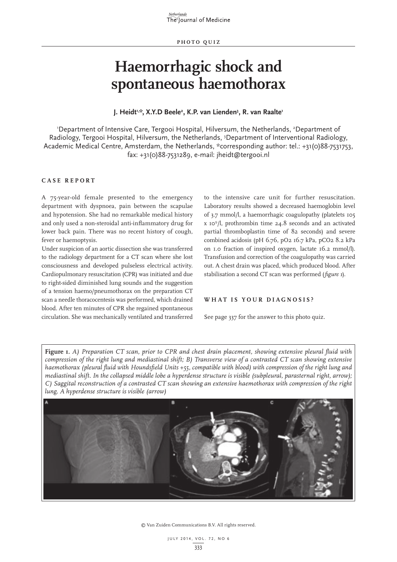# **Haemorrhagic shock and spontaneous haemothorax**

## **J. Heidt1,\*, X.Y.D Beele2 , K.P. van Lienden3 , R. van Raalte1**

'Department of Intensive Care, Tergooi Hospital, Hilversum, the Netherlands, <sup>2</sup>Department of Radiology, Tergooi Hospital, Hilversum, the Netherlands, 3 Department of Interventional Radiology, Academic Medical Centre, Amsterdam, the Netherlands, \*corresponding author: tel.: +31(0)88-7531753, fax: +31(0)88-7531289, e-mail: jheidt@tergooi.nl

## **CASE REPORT**

A 75-year-old female presented to the emergency department with dyspnoea, pain between the scapulae and hypotension. She had no remarkable medical history and only used a non-steroidal anti-inflammatory drug for lower back pain. There was no recent history of cough, fever or haemoptysis.

Under suspicion of an aortic dissection she was transferred to the radiology department for a CT scan where she lost consciousness and developed pulseless electrical activity. Cardiopulmonary resuscitation (CPR) was initiated and due to right-sided diminished lung sounds and the suggestion of a tension haemo/pneumothorax on the preparation CT scan a needle thoracocentesis was performed, which drained blood. After ten minutes of CPR she regained spontaneous circulation. She was mechanically ventilated and transferred to the intensive care unit for further resuscitation. Laboratory results showed a decreased haemoglobin level of 3.7 mmol/l, a haemorrhagic coagulopathy (platelets 105 x 109/l, prothrombin time 24.8 seconds and an activated partial thromboplastin time of 82 seconds) and severe combined acidosis (pH 6.76, pO2 16.7 kPa, pCO2 8.2 kPa on 1.0 fraction of inspired oxygen, lactate 16.2 mmol/l). Transfusion and correction of the coagulopathy was carried out. A chest drain was placed, which produced blood. After stabilisation a second CT scan was performed (*figure 1*).

## **WHAT IS YOUR DIAGNOSIS?**

See page 337 for the answer to this photo quiz.

**Figure 1.** *A) Preparation CT scan, prior to CPR and chest drain placement, showing extensive pleural fluid with compression of the right lung and mediastinal shift; B) Transverse view of a contrasted CT scan showing extensive haemothorax (pleural fluid with Houndsfield Units +55, compatible with blood) with compression of the right lung and mediastinal shift. In the collapsed middle lobe a hyperdense structure is visible (subpleural, parasternal right, arrow); C) Saggital reconstruction of a contrasted CT scan showing an extensive haemothorax with compression of the right lung. A hyperdense structure is visible (arrow)*



© Van Zuiden Communications B.V. All rights reserved.

<sup>333</sup> JULY 2014, VOL. 72, NO 6